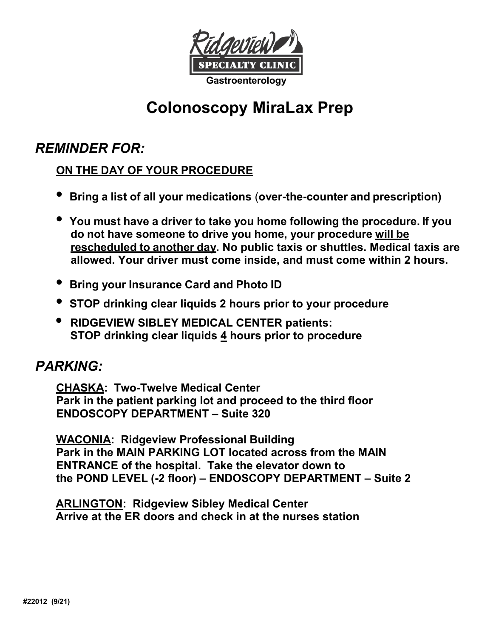

# **Colonoscopy MiraLax Prep**

## *REMINDER FOR:*

## **ON THE DAY OF YOUR PROCEDURE**

- **Bring a list of all your medications** (**over-the-counter and prescription)**
- **You must have a driver to take you home following the procedure. If you do not have someone to drive you home, your procedure will be rescheduled to another day. No public taxis or shuttles. Medical taxis are allowed. Your driver must come inside, and must come within 2 hours.**
- **Bring your Insurance Card and Photo ID**
- **STOP drinking clear liquids 2 hours prior to your procedure**
- **RIDGEVIEW SIBLEY MEDICAL CENTER patients: STOP drinking clear liquids 4 hours prior to procedure**

## *PARKING:*

**CHASKA: Two-Twelve Medical Center Park in the patient parking lot and proceed to the third floor ENDOSCOPY DEPARTMENT – Suite 320**

**WACONIA: Ridgeview Professional Building Park in the MAIN PARKING LOT located across from the MAIN ENTRANCE of the hospital. Take the elevator down to the POND LEVEL (-2 floor) – ENDOSCOPY DEPARTMENT – Suite 2** 

**ARLINGTON: Ridgeview Sibley Medical Center Arrive at the ER doors and check in at the nurses station**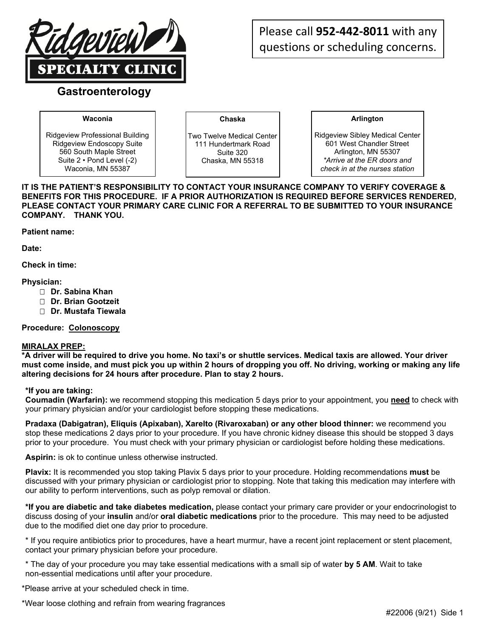

## Please call **952‐442‐8011** with any questions or scheduling concerns.

### **Gastroenterology**

#### **Waconia**

Ridgeview Professional Building Ridgeview Endoscopy Suite 560 South Maple Street Suite 2 • Pond Level (-2) Waconia, MN 55387

**Chaska** 

Two Twelve Medical Center 111 Hundertmark Road Suite 320 Chaska, MN 55318

**Arlington** 

Ridgeview Sibley Medical Center 601 West Chandler Street Arlington, MN 55307 *\*Arrive at the ER doors and check in at the nurses station* 

**IT IS THE PATIENT'S RESPONSIBILITY TO CONTACT YOUR INSURANCE COMPANY TO VERIFY COVERAGE & BENEFITS FOR THIS PROCEDURE. IF A PRIOR AUTHORIZATION IS REQUIRED BEFORE SERVICES RENDERED, PLEASE CONTACT YOUR PRIMARY CARE CLINIC FOR A REFERRAL TO BE SUBMITTED TO YOUR INSURANCE COMPANY. THANK YOU.** 

**Patient name:** 

**Date:** 

**Check in time:** 

#### **Physician:**

- **Dr. Sabina Khan**
- **Dr. Brian Gootzeit**
- **Dr. Mustafa Tiewala**

#### **Procedure: Colonoscopy**

#### **MIRALAX PREP:**

**\*A driver will be required to drive you home. No taxi's or shuttle services. Medical taxis are allowed. Your driver must come inside, and must pick you up within 2 hours of dropping you off. No driving, working or making any life altering decisions for 24 hours after procedure. Plan to stay 2 hours.** 

#### **\*If you are taking:**

**Coumadin (Warfarin):** we recommend stopping this medication 5 days prior to your appointment, you **need** to check with your primary physician and/or your cardiologist before stopping these medications.

**Pradaxa (Dabigatran), Eliquis (Apixaban), Xarelto (Rivaroxaban) or any other blood thinner:** we recommend you stop these medications 2 days prior to your procedure. If you have chronic kidney disease this should be stopped 3 days prior to your procedure. You must check with your primary physician or cardiologist before holding these medications.

**Aspirin:** is ok to continue unless otherwise instructed.

**Plavix:** It is recommended you stop taking Plavix 5 days prior to your procedure. Holding recommendations **must** be discussed with your primary physician or cardiologist prior to stopping. Note that taking this medication may interfere with our ability to perform interventions, such as polyp removal or dilation.

**\*If you are diabetic and take diabetes medication,** please contact your primary care provider or your endocrinologist to discuss dosing of your **insulin** and/or **oral diabetic medications** prior to the procedure. This may need to be adjusted due to the modified diet one day prior to procedure.

\* If you require antibiotics prior to procedures, have a heart murmur, have a recent joint replacement or stent placement, contact your primary physician before your procedure.

\* The day of your procedure you may take essential medications with a small sip of water **by 5 AM**. Wait to take non-essential medications until after your procedure.

\*Please arrive at your scheduled check in time.

\*Wear loose clothing and refrain from wearing fragrances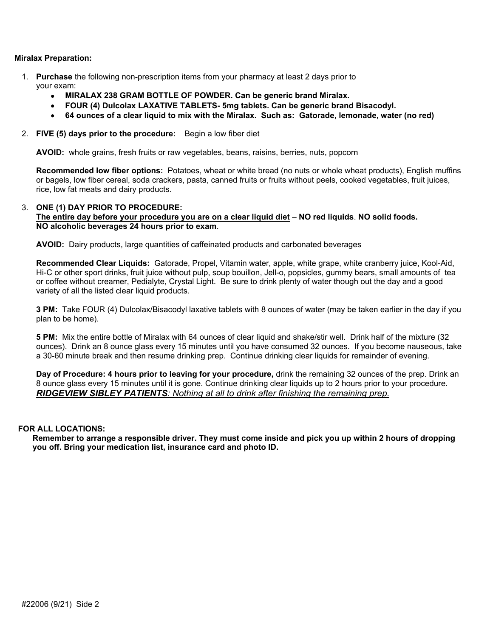#### **Miralax Preparation:**

- 1. **Purchase** the following non-prescription items from your pharmacy at least 2 days prior to your exam:
	- **MIRALAX 238 GRAM BOTTLE OF POWDER. Can be generic brand Miralax.**
	- **FOUR (4) Dulcolax LAXATIVE TABLETS- 5mg tablets. Can be generic brand Bisacodyl.**
	- **64 ounces of a clear liquid to mix with the Miralax. Such as: Gatorade, lemonade, water (no red)**
- 2. **FIVE (5) days prior to the procedure:** Begin a low fiber diet

**AVOID:** whole grains, fresh fruits or raw vegetables, beans, raisins, berries, nuts, popcorn

**Recommended low fiber options:** Potatoes, wheat or white bread (no nuts or whole wheat products), English muffins or bagels, low fiber cereal, soda crackers, pasta, canned fruits or fruits without peels, cooked vegetables, fruit juices, rice, low fat meats and dairy products.

#### 3. **ONE (1) DAY PRIOR TO PROCEDURE:**

#### **The entire day before your procedure you are on a clear liquid diet** – **NO red liquids**. **NO solid foods. NO alcoholic beverages 24 hours prior to exam**.

**AVOID:** Dairy products, large quantities of caffeinated products and carbonated beverages

**Recommended Clear Liquids:** Gatorade, Propel, Vitamin water, apple, white grape, white cranberry juice, Kool-Aid, Hi-C or other sport drinks, fruit juice without pulp, soup bouillon, Jell-o, popsicles, gummy bears, small amounts of tea or coffee without creamer, Pedialyte, Crystal Light. Be sure to drink plenty of water though out the day and a good variety of all the listed clear liquid products.

**3 PM:** Take FOUR (4) Dulcolax/Bisacodyl laxative tablets with 8 ounces of water (may be taken earlier in the day if you plan to be home).

**5 PM:** Mix the entire bottle of Miralax with 64 ounces of clear liquid and shake/stir well. Drink half of the mixture (32 ounces). Drink an 8 ounce glass every 15 minutes until you have consumed 32 ounces. If you become nauseous, take a 30-60 minute break and then resume drinking prep. Continue drinking clear liquids for remainder of evening.

**Day of Procedure: 4 hours prior to leaving for your procedure,** drink the remaining 32 ounces of the prep. Drink an 8 ounce glass every 15 minutes until it is gone. Continue drinking clear liquids up to 2 hours prior to your procedure. *RIDGEVIEW SIBLEY PATIENTS: Nothing at all to drink after finishing the remaining prep.*

#### **FOR ALL LOCATIONS:**

**Remember to arrange a responsible driver. They must come inside and pick you up within 2 hours of dropping you off. Bring your medication list, insurance card and photo ID.**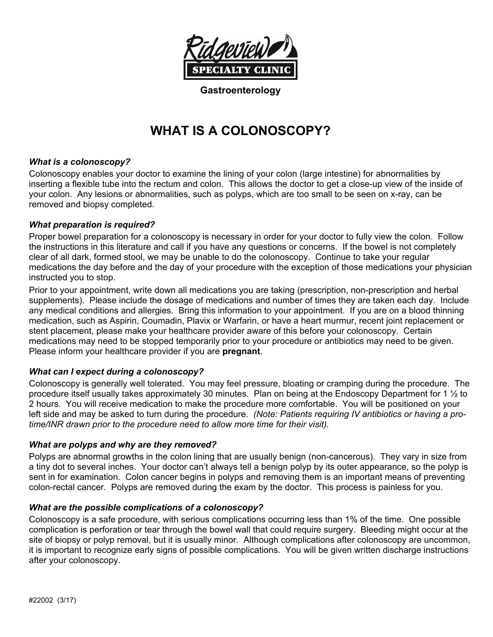

**Gastroenterology** 

## **WHAT IS A COLONOSCOPY?**

#### *What is a colonoscopy?*

Colonoscopy enables your doctor to examine the lining of your colon (large intestine) for abnormalities by inserting a flexible tube into the rectum and colon. This allows the doctor to get a close-up view of the inside of your colon. Any lesions or abnormalities, such as polyps, which are too small to be seen on x-ray, can be removed and biopsy completed.

#### *What preparation is required?*

Proper bowel preparation for a colonoscopy is necessary in order for your doctor to fully view the colon. Follow the instructions in this literature and call if you have any questions or concerns. If the bowel is not completely clear of all dark, formed stool, we may be unable to do the colonoscopy. Continue to take your regular medications the day before and the day of your procedure with the exception of those medications your physician instructed you to stop.

Prior to your appointment, write down all medications you are taking (prescription, non-prescription and herbal supplements). Please include the dosage of medications and number of times they are taken each day. Include any medical conditions and allergies. Bring this information to your appointment. If you are on a blood thinning medication, such as Aspirin, Coumadin, Plavix or Warfarin, or have a heart murmur, recent joint replacement or stent placement, please make your healthcare provider aware of this before your colonoscopy. Certain medications may need to be stopped temporarily prior to your procedure or antibiotics may need to be given. Please inform your healthcare provider if you are **pregnant**.

#### *What can I expect during a colonoscopy?*

Colonoscopy is generally well tolerated. You may feel pressure, bloating or cramping during the procedure. The procedure itself usually takes approximately 30 minutes. Plan on being at the Endoscopy Department for 1 ½ to 2 hours. You will receive medication to make the procedure more comfortable. You will be positioned on your left side and may be asked to turn during the procedure. *(Note: Patients requiring IV antibiotics or having a protime/INR drawn prior to the procedure need to allow more time for their visit).*

#### *What are polyps and why are they removed?*

Polyps are abnormal growths in the colon lining that are usually benign (non-cancerous). They vary in size from a tiny dot to several inches. Your doctor can't always tell a benign polyp by its outer appearance, so the polyp is sent in for examination. Colon cancer begins in polyps and removing them is an important means of preventing colon-rectal cancer. Polyps are removed during the exam by the doctor. This process is painless for you.

#### *What are the possible complications of a colonoscopy?*

Colonoscopy is a safe procedure, with serious complications occurring less than 1% of the time. One possible complication is perforation or tear through the bowel wall that could require surgery. Bleeding might occur at the site of biopsy or polyp removal, but it is usually minor. Although complications after colonoscopy are uncommon, it is important to recognize early signs of possible complications. You will be given written discharge instructions after your colonoscopy.